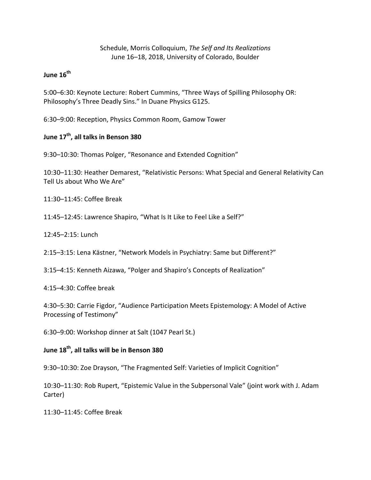### Schedule, Morris Colloquium, *The Self and Its Realizations* June 16–18, 2018, University of Colorado, Boulder

## **June 16th**

5:00–6:30: Keynote Lecture: Robert Cummins, "Three Ways of Spilling Philosophy OR: Philosophy's Three Deadly Sins." In Duane Physics G125.

6:30–9:00: Reception, Physics Common Room, Gamow Tower

# **June 17th, all talks in Benson 380**

9:30–10:30: Thomas Polger, "Resonance and Extended Cognition"

10:30–11:30: Heather Demarest, "Relativistic Persons: What Special and General Relativity Can Tell Us about Who We Are"

11:30–11:45: Coffee Break

11:45–12:45: Lawrence Shapiro, "What Is It Like to Feel Like a Self?"

12:45–2:15: Lunch

2:15–3:15: Lena Kästner, "Network Models in Psychiatry: Same but Different?"

3:15–4:15: Kenneth Aizawa, "Polger and Shapiro's Concepts of Realization"

4:15–4:30: Coffee break

4:30–5:30: Carrie Figdor, "Audience Participation Meets Epistemology: A Model of Active Processing of Testimony"

6:30–9:00: Workshop dinner at Salt (1047 Pearl St.)

### **June 18th, all talks will be in Benson 380**

9:30–10:30: Zoe Drayson, "The Fragmented Self: Varieties of Implicit Cognition"

10:30–11:30: Rob Rupert, "Epistemic Value in the Subpersonal Vale" (joint work with J. Adam Carter)

11:30–11:45: Coffee Break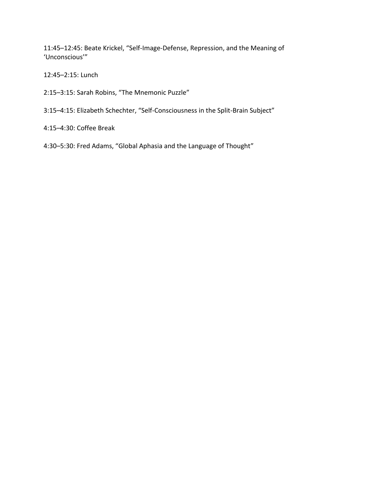11:45–12:45: Beate Krickel, "Self-Image-Defense, Repression, and the Meaning of 'Unconscious'"

12:45–2:15: Lunch

2:15–3:15: Sarah Robins, "The Mnemonic Puzzle"

3:15–4:15: Elizabeth Schechter, "Self-Consciousness in the Split-Brain Subject"

4:15–4:30: Coffee Break

4:30–5:30: Fred Adams, "Global Aphasia and the Language of Thought"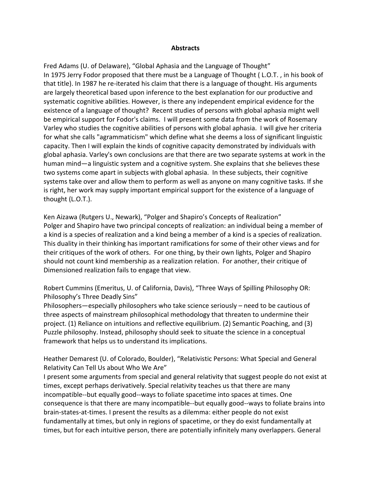#### **Abstracts**

Fred Adams (U. of Delaware), "Global Aphasia and the Language of Thought" In 1975 Jerry Fodor proposed that there must be a Language of Thought ( L.O.T. , in his book of that title). In 1987 he re-iterated his claim that there is a language of thought. His arguments are largely theoretical based upon inference to the best explanation for our productive and systematic cognitive abilities. However, is there any independent empirical evidence for the existence of a language of thought? Recent studies of persons with global aphasia might well be empirical support for Fodor's claims. I will present some data from the work of Rosemary Varley who studies the cognitive abilities of persons with global aphasia. I will give her criteria for what she calls "agrammaticism" which define what she deems a loss of significant linguistic capacity. Then I will explain the kinds of cognitive capacity demonstrated by individuals with global aphasia. Varley's own conclusions are that there are two separate systems at work in the human mind—a linguistic system and a cognitive system. She explains that she believes these two systems come apart in subjects with global aphasia. In these subjects, their cognitive systems take over and allow them to perform as well as anyone on many cognitive tasks. If she is right, her work may supply important empirical support for the existence of a language of thought (L.O.T.).

Ken Aizawa (Rutgers U., Newark), "Polger and Shapiro's Concepts of Realization" Polger and Shapiro have two principal concepts of realization: an individual being a member of a kind is a species of realization and a kind being a member of a kind is a species of realization. This duality in their thinking has important ramifications for some of their other views and for their critiques of the work of others. For one thing, by their own lights, Polger and Shapiro should not count kind membership as a realization relation. For another, their critique of Dimensioned realization fails to engage that view.

Robert Cummins (Emeritus, U. of California, Davis), "Three Ways of Spilling Philosophy OR: Philosophy's Three Deadly Sins"

Philosophers—especially philosophers who take science seriously – need to be cautious of three aspects of mainstream philosophical methodology that threaten to undermine their project. (1) Reliance on intuitions and reflective equilibrium. (2) Semantic Poaching, and (3) Puzzle philosophy. Instead, philosophy should seek to situate the science in a conceptual framework that helps us to understand its implications.

Heather Demarest (U. of Colorado, Boulder), "Relativistic Persons: What Special and General Relativity Can Tell Us about Who We Are"

I present some arguments from special and general relativity that suggest people do not exist at times, except perhaps derivatively. Special relativity teaches us that there are many incompatible--but equally good--ways to foliate spacetime into spaces at times. One consequence is that there are many incompatible--but equally good--ways to foliate brains into brain-states-at-times. I present the results as a dilemma: either people do not exist fundamentally at times, but only in regions of spacetime, or they do exist fundamentally at times, but for each intuitive person, there are potentially infinitely many overlappers. General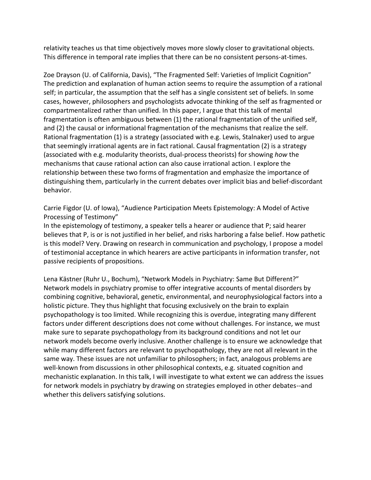relativity teaches us that time objectively moves more slowly closer to gravitational objects. This difference in temporal rate implies that there can be no consistent persons-at-times.

Zoe Drayson (U. of California, Davis), "The Fragmented Self: Varieties of Implicit Cognition" The prediction and explanation of human action seems to require the assumption of a rational self; in particular, the assumption that the self has a single consistent set of beliefs. In some cases, however, philosophers and psychologists advocate thinking of the self as fragmented or compartmentalized rather than unified. In this paper, I argue that this talk of mental fragmentation is often ambiguous between (1) the rational fragmentation of the unified self, and (2) the causal or informational fragmentation of the mechanisms that realize the self. Rational fragmentation (1) is a strategy (associated with e.g. Lewis, Stalnaker) used to argue that seemingly irrational agents are in fact rational. Causal fragmentation (2) is a strategy (associated with e.g. modularity theorists, dual-process theorists) for showing *how* the mechanisms that cause rational action can also cause irrational action. I explore the relationship between these two forms of fragmentation and emphasize the importance of distinguishing them, particularly in the current debates over implicit bias and belief-discordant behavior.

Carrie Figdor (U. of Iowa), "Audience Participation Meets Epistemology: A Model of Active Processing of Testimony"

In the epistemology of testimony, a speaker tells a hearer or audience that P; said hearer believes that P, is or is not justified in her belief, and risks harboring a false belief. How pathetic is this model? Very. Drawing on research in communication and psychology, I propose a model of testimonial acceptance in which hearers are active participants in information transfer, not passive recipients of propositions.

Lena Kästner (Ruhr U., Bochum), "Network Models in Psychiatry: Same But Different?" Network models in psychiatry promise to offer integrative accounts of mental disorders by combining cognitive, behavioral, genetic, environmental, and neurophysiological factors into a holistic picture. They thus highlight that focusing exclusively on the brain to explain psychopathology is too limited. While recognizing this is overdue, integrating many different factors under different descriptions does not come without challenges. For instance, we must make sure to separate psychopathology from its background conditions and not let our network models become overly inclusive. Another challenge is to ensure we acknowledge that while many different factors are relevant to psychopathology, they are not all relevant in the same way. These issues are not unfamiliar to philosophers; in fact, analogous problems are well-known from discussions in other philosophical contexts, e.g. situated cognition and mechanistic explanation. In this talk, I will investigate to what extent we can address the issues for network models in psychiatry by drawing on strategies employed in other debates--and whether this delivers satisfying solutions.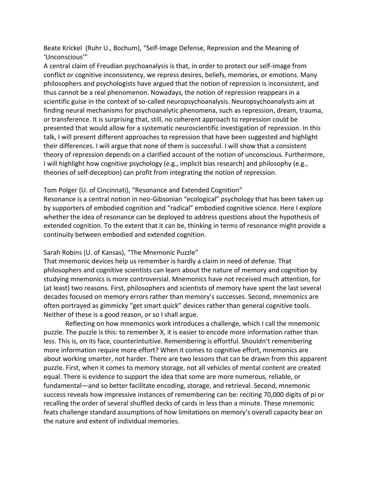Beate Krickel (Ruhr U., Bochum), "Self-Image Defense, Repression and the Meaning of 'Unconscious'"

A central claim of Freudian psychoanalysis is that, in order to protect our self-image from conflict or cognitive inconsistency, we repress desires, beliefs, memories, or emotions. Many philosophers and psychologists have argued that the notion of repression is inconsistent, and thus cannot be a real phenomenon. Nowadays, the notion of repression reappears in a scientific guise in the context of so-called neuropsychoanalysis. Neuropsychoanalysts aim at finding neural mechanisms for psychoanalytic phenomena, such as repression, dream, trauma, or transference. It is surprising that, still, no coherent approach to repression could be presented that would allow for a systematic neuroscientific investigation of repression. In this talk, I will present different approaches to repression that have been suggested and highlight their differences. I will argue that none of them is successful. I will show that a consistent theory of repression depends on a clarified account of the notion of unconscious. Furthermore, I will highlight how cognitive psychology (e.g., implicit bias research) and philosophy (e.g., theories of self-deception) can profit from integrating the notion of repression.

### Tom Polger (U. of Cincinnati), "Resonance and Extended Cognition"

Resonance is a central notion in neo-Gibsonian "ecological" psychology that has been taken up by supporters of embodied cognition and "radical" embodied cognitive science. Here I explore whether the idea of resonance can be deployed to address questions about the hypothesis of extended cognition. To the extent that it can be, thinking in terms of resonance might provide a continuity between embodied and extended cognition.

#### Sarah Robins (U. of Kansas), "The Mnemonic Puzzle"

That mnemonic devices help us remember is hardly a claim in need of defense. That philosophers and cognitive scientists can learn about the nature of memory and cognition by studying mnemonics is more controversial. Mnemonics have not received much attention, for (at least) two reasons. First, philosophers and scientists of memory have spent the last several decades focused on memory errors rather than memory's successes. Second, mnemonics are often portrayed as gimmicky "get smart quick" devices rather than general cognitive tools. Neither of these is a good reason, or so I shall argue.

Reflecting on how mnemonics work introduces a challenge, which I call the mnemonic puzzle. The puzzle is this: to remember X, it is easier to encode more information rather than less. This is, on its face, counterintuitive. Remembering is effortful. Shouldn't remembering more information require more effort? When it comes to cognitive effort, mnemonics are about working smarter, not harder. There are two lessons that can be drawn from this apparent puzzle. First, when it comes to memory storage, not all vehicles of mental content are created equal. There is evidence to support the idea that some are more numerous, reliable, or fundamental—and so better facilitate encoding, storage, and retrieval. Second, mnemonic success reveals how impressive instances of remembering can be: reciting 70,000 digits of pi or recalling the order of several shuffled decks of cards in less than a minute. These mnemonic feats challenge standard assumptions of how limitations on memory's overall capacity bear on the nature and extent of individual memories.